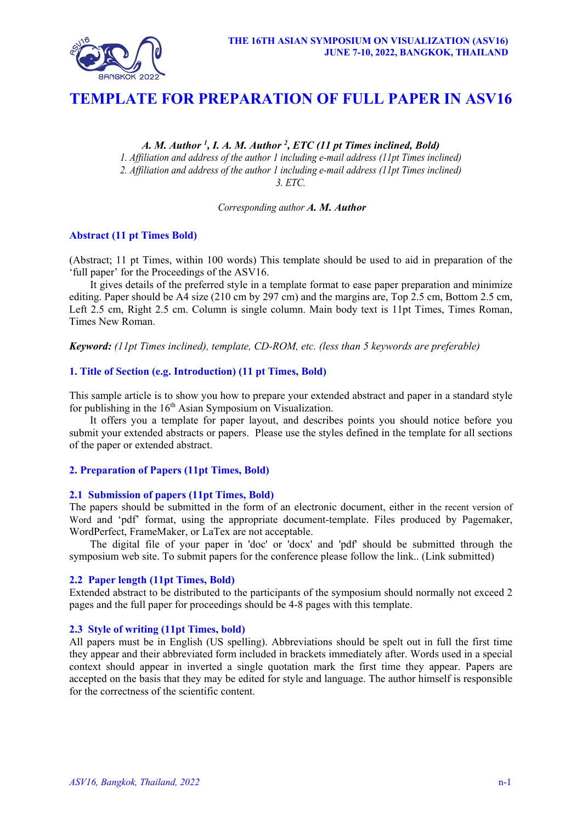

# **TEMPLATE FOR PREPARATION OF FULL PAPER IN ASV16**

*A. M. Author 1 , I. A. M. Author 2 , ETC (11 pt Times inclined, Bold) 1. Affiliation and address of the author 1 including e-mail address (11pt Times inclined) 2. Affiliation and address of the author 1 including e-mail address (11pt Times inclined) 3. ETC.*

*Corresponding author A. M. Author*

# **Abstract (11 pt Times Bold)**

(Abstract; 11 pt Times, within 100 words) This template should be used to aid in preparation of the 'full paper' for the Proceedings of the ASV16.

It gives details of the preferred style in a template format to ease paper preparation and minimize editing. Paper should be A4 size (210 cm by 297 cm) and the margins are, Top 2.5 cm, Bottom 2.5 cm, Left 2.5 cm, Right 2.5 cm. Column is single column. Main body text is 11pt Times, Times Roman, Times New Roman.

*Keyword: (11pt Times inclined), template, CD-ROM, etc. (less than 5 keywords are preferable)*

## **1. Title of Section (e.g. Introduction) (11 pt Times, Bold)**

This sample article is to show you how to prepare your extended abstract and paper in a standard style for publishing in the  $16<sup>th</sup>$  Asian Symposium on Visualization.

It offers you a template for paper layout, and describes points you should notice before you submit your extended abstracts or papers. Please use the styles defined in the template for all sections of the paper or extended abstract.

## **2. Preparation of Papers (11pt Times, Bold)**

## **2.1 Submission of papers (11pt Times, Bold)**

The papers should be submitted in the form of an electronic document, either in the recent version of Word and 'pdf' format, using the appropriate document-template. Files produced by Pagemaker, WordPerfect, FrameMaker, or LaTex are not acceptable.

The digital file of your paper in 'doc' or 'docx' and 'pdf' should be submitted through the symposium web site. To submit papers for the conference please follow the link.. (Link submitted)

## **2.2 Paper length (11pt Times, Bold)**

Extended abstract to be distributed to the participants of the symposium should normally not exceed 2 pages and the full paper for proceedings should be 4-8 pages with this template.

# **2.3 Style of writing (11pt Times, bold)**

All papers must be in English (US spelling). Abbreviations should be spelt out in full the first time they appear and their abbreviated form included in brackets immediately after. Words used in a special context should appear in inverted a single quotation mark the first time they appear. Papers are accepted on the basis that they may be edited for style and language. The author himself is responsible for the correctness of the scientific content.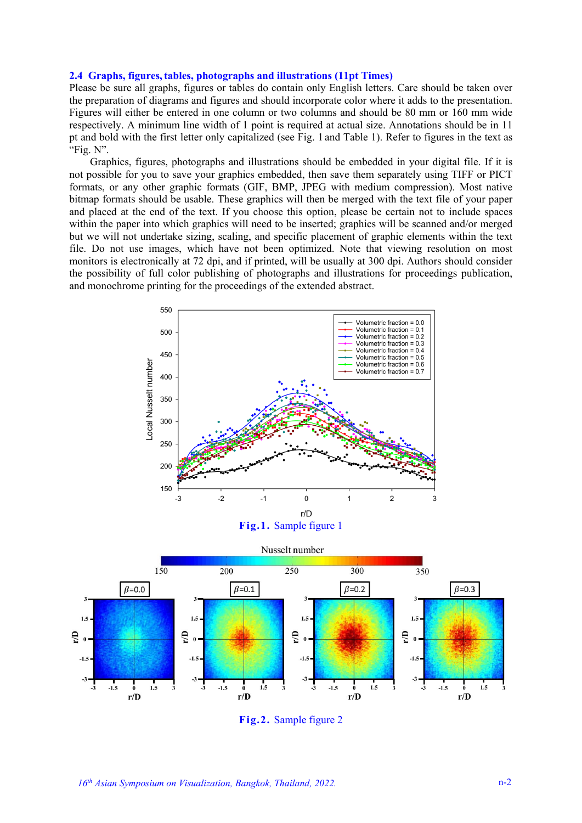#### **2.4 Graphs, figures,tables, photographs and illustrations (11pt Times)**

Please be sure all graphs, figures or tables do contain only English letters. Care should be taken over the preparation of diagrams and figures and should incorporate color where it adds to the presentation. Figures will either be entered in one column or two columns and should be 80 mm or 160 mm wide respectively. A minimum line width of 1 point is required at actual size. Annotations should be in 11 pt and bold with the first letter only capitalized (see Fig. 1 and Table 1). Refer to figures in the text as "Fig. N".

Graphics, figures, photographs and illustrations should be embedded in your digital file. If it is not possible for you to save your graphics embedded, then save them separately using TIFF or PICT formats, or any other graphic formats (GIF, BMP, JPEG with medium compression). Most native bitmap formats should be usable. These graphics will then be merged with the text file of your paper and placed at the end of the text. If you choose this option, please be certain not to include spaces within the paper into which graphics will need to be inserted; graphics will be scanned and/or merged but we will not undertake sizing, scaling, and specific placement of graphic elements within the text file. Do not use images, which have not been optimized. Note that viewing resolution on most monitors is electronically at 72 dpi, and if printed, will be usually at 300 dpi. Authors should consider the possibility of full color publishing of photographs and illustrations for proceedings publication, and monochrome printing for the proceedings of the extended abstract.







**Fig.2.** Sample figure 2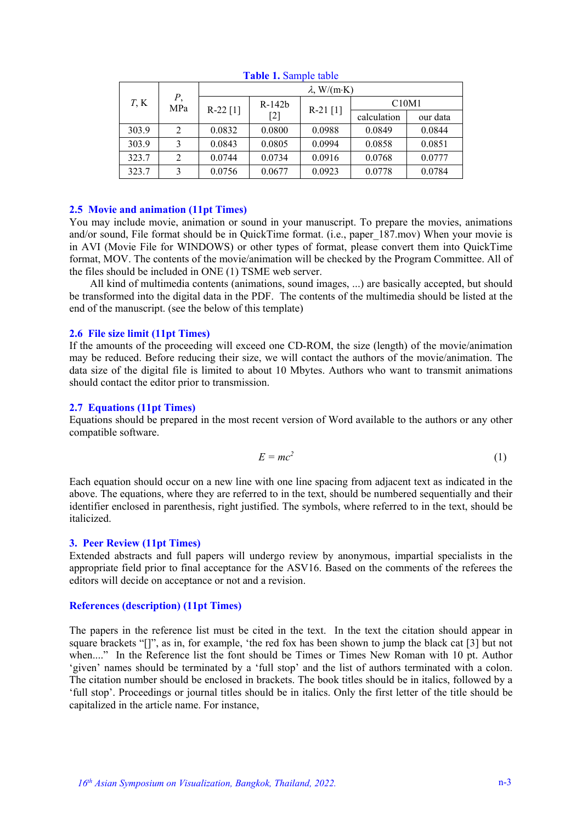| $T$ , K | Р,<br>MPa | $\lambda$ , W/(m·K) |                   |            |             |          |
|---------|-----------|---------------------|-------------------|------------|-------------|----------|
|         |           | $R-22$ [1]          | $R-142b$<br>$[2]$ | $R-21$ [1] | C10M1       |          |
|         |           |                     |                   |            | calculation | our data |
| 303.9   | 2         | 0.0832              | 0.0800            | 0.0988     | 0.0849      | 0.0844   |
| 303.9   |           | 0.0843              | 0.0805            | 0.0994     | 0.0858      | 0.0851   |
| 323.7   | 2         | 0.0744              | 0.0734            | 0.0916     | 0.0768      | 0.0777   |
| 323.7   |           | 0.0756              | 0.0677            | 0.0923     | 0.0778      | 0.0784   |

**Table 1.** Sample table

## **2.5 Movie and animation (11pt Times)**

You may include movie, animation or sound in your manuscript. To prepare the movies, animations and/or sound, File format should be in QuickTime format. (i.e., paper\_187.mov) When your movie is in AVI (Movie File for WINDOWS) or other types of format, please convert them into QuickTime format, MOV. The contents of the movie/animation will be checked by the Program Committee. All of the files should be included in ONE (1) TSME web server.

All kind of multimedia contents (animations, sound images, ...) are basically accepted, but should be transformed into the digital data in the PDF. The contents of the multimedia should be listed at the end of the manuscript. (see the below of this template)

# **2.6 File size limit (11pt Times)**

If the amounts of the proceeding will exceed one CD-ROM, the size (length) of the movie/animation may be reduced. Before reducing their size, we will contact the authors of the movie/animation. The data size of the digital file is limited to about 10 Mbytes. Authors who want to transmit animations should contact the editor prior to transmission.

## **2.7 Equations (11pt Times)**

Equations should be prepared in the most recent version of Word available to the authors or any other compatible software.

$$
E = mc^2 \tag{1}
$$

Each equation should occur on a new line with one line spacing from adjacent text as indicated in the above. The equations, where they are referred to in the text, should be numbered sequentially and their identifier enclosed in parenthesis, right justified. The symbols, where referred to in the text, should be italicized.

# **3. Peer Review (11pt Times)**

Extended abstracts and full papers will undergo review by anonymous, impartial specialists in the appropriate field prior to final acceptance for the ASV16. Based on the comments of the referees the editors will decide on acceptance or not and a revision.

## **References (description) (11pt Times)**

The papers in the reference list must be cited in the text. In the text the citation should appear in square brackets "[]", as in, for example, 'the red fox has been shown to jump the black cat [3] but not when...." In the Reference list the font should be Times or Times New Roman with 10 pt. Author 'given' names should be terminated by a 'full stop' and the list of authors terminated with a colon. The citation number should be enclosed in brackets. The book titles should be in italics, followed by a 'full stop'. Proceedings or journal titles should be in italics. Only the first letter of the title should be capitalized in the article name. For instance,